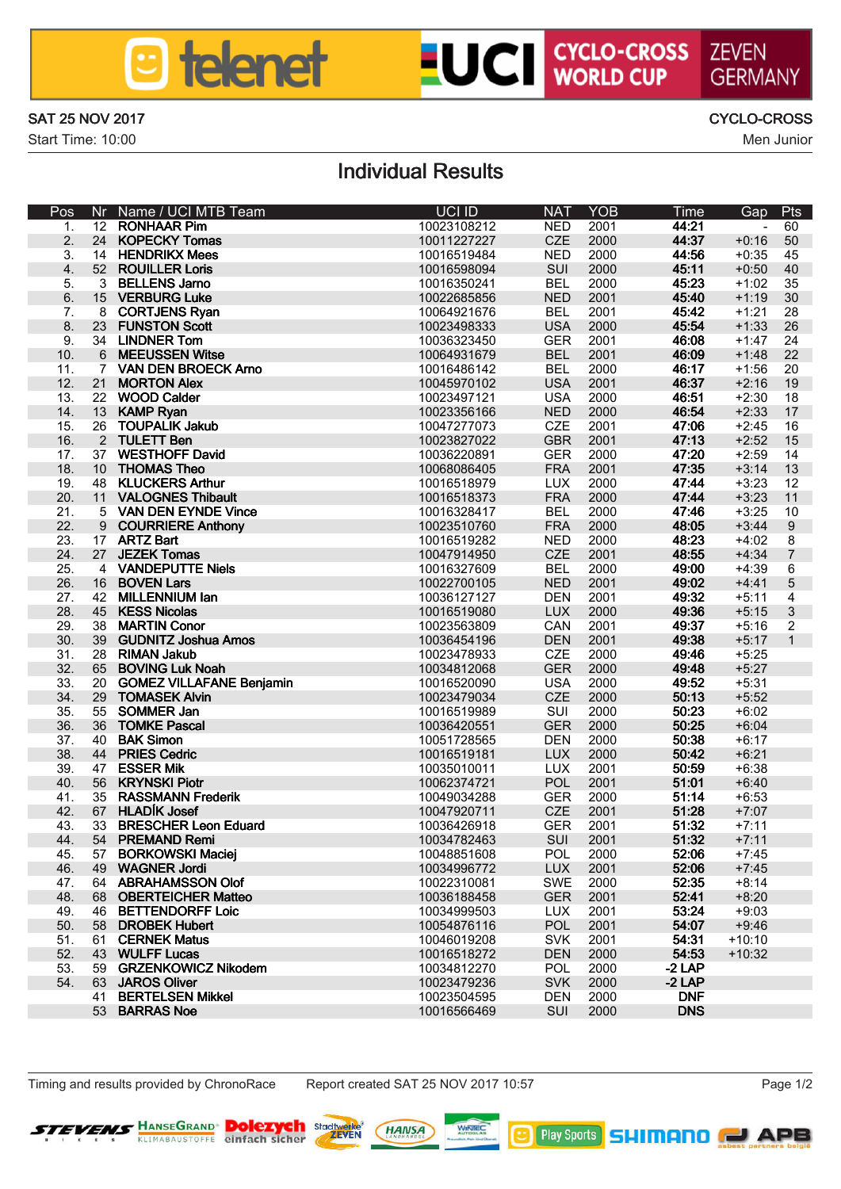

## **LUCI CYCLO-CROSS ZEVEN**

SAT 25 NOV 2017 CYCLO-CROSS

Start Time: 10:00 Men Junior Men Junior Men Junior Men Junior Men Junior Men Junior Men Junior Men Junior Men Junior Men Junior Men Junior Men Junior Men Junior Men Junior Men Junior Men Junior Men Junior Men Junior Men Ju

GERMANN

### Individual Results

| Pos             | Nr.            | Name / UCI MTB Team                  | <b>HOLID</b>               | <b>NAT</b>   | YOR          | Time           | Gap                | Pts             |
|-----------------|----------------|--------------------------------------|----------------------------|--------------|--------------|----------------|--------------------|-----------------|
| 1.              | 12             | ROM-WAR PM                           | 10023108212                | <b>NFD</b>   | 2001         | 44-21          |                    | 60              |
| $\overline{a}$  | 24             | <b>KOPECKY Tomas</b>                 | 10011227227                | CZE          | 2000         | 44:37          | $+0.16$            | 50              |
| a               | 14             | <b>HENDRICK Moos</b>                 | 10016519484                | NFD.         | 2000         | 44-56          | $+0.35$            | 45              |
| $\Delta$        | 52             | <b>ROUTLER Lods</b>                  | 10016598094                | SUI          | 2000         | 45:11          | $+0.50$            | 40              |
| κ               | ×              | <b>RFI I FMS Jamo</b>                | 10016350241                | <b>RFI</b>   | 2000         | 45-23          | $+1.02$            | 35              |
| Ŕ.              | 15             | <b>VERRURG Like</b>                  | 10022685856                | <b>NFD</b>   | 2001         | 45.40          | $+1.19$            | 30 <sub>0</sub> |
| 7               | я              | CORTJENS Bygg                        | 10064921676                | <b>RFI</b>   | 2001         | 45:47          | $+1.21$            | 28              |
| R               | 23             | <b>FLINERTON Scott</b>               | 10023498333                | 1154         | 2000         | 45.54          | $+1:33$            | 26              |
| a               | 34             | <b>LINDNER Tom</b>                   | 10036323450                | GFR          | 2001         | 46:08          | $+1:47$            | 24              |
| 10 <sub>1</sub> | A              | <b>MFFI ISSFN Wilse</b>              | 10064931679                | <b>RFI</b>   | 2001         | 46:09          | $+1.48$            | 22              |
| 11              | 7              | VAN DEN RROECK Amo                   | 10016486142                | <b>RFI</b>   | 2000         | 48:17          | $+1.58$            | 20              |
| 12 <sup>5</sup> | 21             | <b>MORTON Alex</b>                   | 10045970102                | 1184         | 2001         | 48.77          | $+2.16$            | 19              |
| 13 <sup>2</sup> | 22             | <b>WDOD Calder</b>                   | 10023497121                | 1154         | 2000         | 48.51          | $+2:30$            | 18              |
| 14              | 13             | <b>KAMP Ryan</b>                     | 10023356166                | <b>NFD</b>   | 2000         | 48.54          | $+2.33$            | 17              |
| 15              | 26             | TOUPAL IK Joines                     | 10047277073                | CZE          | 2001         | 4718           | $+2.45$            | 16              |
| 16              | $\overline{a}$ | <b>THETT Ben</b>                     | 10023827022                | GBR<br>GFR   | 2001         | 47.13          | $+2.52$            | 15              |
| 17<br>18        | 37<br>10       | WESTHOFF David<br><b>THOMAS Theo</b> | 10036220891<br>10068086405 | <b>FRA</b>   | 2000<br>2001 | 47.20<br>47.35 | $+2.50$<br>$+3:14$ | 14<br>13        |
| 19              | 48             | <b>KLUCKERS Arthur</b>               | 10016518979                | LUX          | 2000         | 47:44          | $+3:23$            | 12              |
| $\infty$        | 11             | <b>VAI OGNES Thibault</b>            | 10016518373                | <b>FRA</b>   | 2000         | 47.64          | $+3.23$            | 11              |
| 21              | s              | VAN DEN EYNDE Vince                  | 10016328417                | <b>RFI</b>   | 2000         | 47.46          | $+3.25$            | 10              |
| $\mathfrak{D}$  | $\circ$        | <b>COURRIERE Anthony</b>             | 10023510760                | <b>FRA</b>   | 2000         | 48-05          | $+3:44$            | $\Omega$        |
| 23              | 17             | <b>ART7 Rad</b>                      | 10016519282                | NFD          | 2000         | 48-23          | $+4.02$            | ø               |
| 24              | 27             | <b>JF7FK Tomos</b>                   | 10047914950                | CZE          | 2001         | 48-55          | $+4.34$            | $\overline{z}$  |
| 25              | ٠              | <b>VANDEPUTTE Niels</b>              | 10016327609                | <b>RFI</b>   | 2000         | 49:00          | $+4:30$            | 6               |
| 26              | 16             | <b>ROVEN Lorg</b>                    | 10022700105                | <b>NFD</b>   | 2001         | 49-02          | $+4:41$            | ĸ               |
| 27              | 42             | MILLEMAILIM Ion                      | 10036127127                | <b>DEN</b>   | 2001         | 49:32          | $+5:11$            | z               |
| 28              | 45             | <b>KESS Monies</b>                   | 10016519080                | <b>LIK</b>   | 2000         | 49:36          | $+5.15$            | 3               |
| $\infty$        | 3R             | <b>MARTIN Conor</b>                  | 10023563809                | CAN          | 2001         | 49:37          | $+5:16$            | $\overline{2}$  |
| 30 <sub>1</sub> | 39             | <b>GUDNITZ Joshua Amos</b>           | 10036454196                | DEN          | 2001         | 49:38          | $+5:17$            | ł.              |
| 31              | 2R             | <b>RIMAN John</b>                    | 10023478933                | CZE          | 2000         | 49.46          | $+5.25$            |                 |
| $\infty$        | 65             | <b>ROMMG1</b> uk Noah                | 10034812068                | GFR          | 2000         | 49.48          | $+5.27$            |                 |
| 33              | 20             | <b>GOMEZ VILLAFANE Benjamin</b>      | 10016520090                | 1194         | 2000         | 49-52          | $+5:31$            |                 |
| 24              | 29             | <b>TOMASEK AMB</b>                   | 10023479034                | CZE          | 2000         | 5013           | $+5:52$            |                 |
| 35              | 55             | <b>SOMMER Jan</b>                    | 10016519989                | SUI          | 2000         | 50:23          | $+6,02$            |                 |
| 36              | 26             | <b>TOMKE Posnal</b>                  | 10036420551                | GFR          | 2000         | 50-25          | $+6.04$            |                 |
| 37              | 40             | <b>RAK Simon</b>                     | 10051728565                | <b>DEN</b>   | 2000         | 50:38          | $+6:17$            |                 |
| æ<br>$\infty$   | 44<br>47       | PRIFS Certin<br><b>FRAFR MIK</b>     | 10016519181<br>10035010011 | LIDO<br>111X | 2000<br>2001 | 50:42<br>50:59 | $+6.21$<br>$+6.38$ |                 |
| 40              | 56             | <b>KRYWSKI Pintr</b>                 | 10062374721                | POL          | 2001         | 51101          | $+6:40$            |                 |
| 41              | 35             | <b>RASSMANN Frederic</b>             | 10049034288                | GFR          | 2000         | 5114           | $+6.53$            |                 |
| 42              | R7             | <b>HI ADR Jose</b>                   | 10047920711                | CZE          | 2001         | 51:28          | $+7:07$            |                 |
| 43              | 33             | <b>BRESCHER Larg Eduard</b>          | 10036426918                | GFR          | 2001         | 51:32          | $+7:11$            |                 |
| 44              | 54             | <b>PREMAND Remi</b>                  | 10034782463                | SUI          | 2001         | 51:32          | $+7:11$            |                 |
| t.              | 57             | <b>BORKOWSKI Maciel</b>              | 10048851608                | POI          | 2000         | 5205           | $+7.45$            |                 |
| 46              | 49             | <b>WAGNER Jord</b>                   | 10034996772                | <b>LID</b>   | 2001         | 5205           | $+7.45$            |                 |
| 47              | 64             | ARRAHAMSSON OLD                      | 10022310081                | SWF          | 2000         | 52-35          | $+8.14$            |                 |
| 48              | 68             | <b>ORFRTFICHER Motten</b>            | 10036188458                | GFR          | 2001         | 52.41          | $+8.20$            |                 |
| 49              | 46             | <b>RETTEMPOREE Loin</b>              | 10034999503                | LLIX         | 2001         | 53-24          | $+9.03$            |                 |
| 50              | 5 <sub>R</sub> | <b>DROBEK Hubert</b>                 | 10054876116                | <b>POL</b>   | 2001         | 54:07          | $+9:46$            |                 |
| 51              | 61             | <b>CERNEK Mahru</b>                  | 10046019208                | <b>SVK</b>   | 2001         | 54:31          | $+10:10$           |                 |
| 52              | 43             | WILL FE'Limps                        | 10016518272                | <b>DEN</b>   | 2000         | 54.53          | $+10:32$           |                 |
| 53              | 59             | <b>GRZENKOWICZ Nikodem</b>           | 10034812270                | POL          | 2000         | 214P           |                    |                 |
| 54              | 63             | <b>JAROS OBver</b>                   | 10023479236                | <b>SVK</b>   | 2000         | $-2LP$         |                    |                 |
|                 | 41             | <b>RERTELSEN Mikkel</b>              | 10023504595                | DEN          | 2000         | <b>DNF</b>     |                    |                 |
|                 | 53             | RARRAS Mon                           | 10016566469                | SUI          | 2000         | DNR            |                    |                 |

**B** Pby Spats **SHIMANO (CAPE**